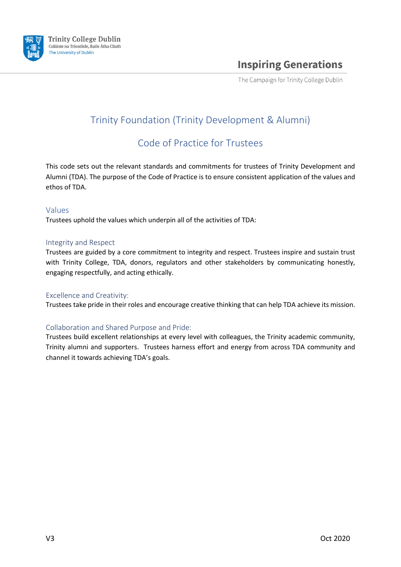

The Campaign for Trinity College Dublin

# Trinity Foundation (Trinity Development & Alumni)

## Code of Practice for Trustees

This code sets out the relevant standards and commitments for trustees of Trinity Development and Alumni (TDA). The purpose of the Code of Practice is to ensure consistent application of the values and ethos of TDA.

#### Values

Trustees uphold the values which underpin all of the activities of TDA:

#### Integrity and Respect

Trustees are guided by a core commitment to integrity and respect. Trustees inspire and sustain trust with Trinity College, TDA, donors, regulators and other stakeholders by communicating honestly, engaging respectfully, and acting ethically.

#### Excellence and Creativity:

Trustees take pride in their roles and encourage creative thinking that can help TDA achieve its mission.

### Collaboration and Shared Purpose and Pride:

Trustees build excellent relationships at every level with colleagues, the Trinity academic community, Trinity alumni and supporters. Trustees harness effort and energy from across TDA community and channel it towards achieving TDA's goals.